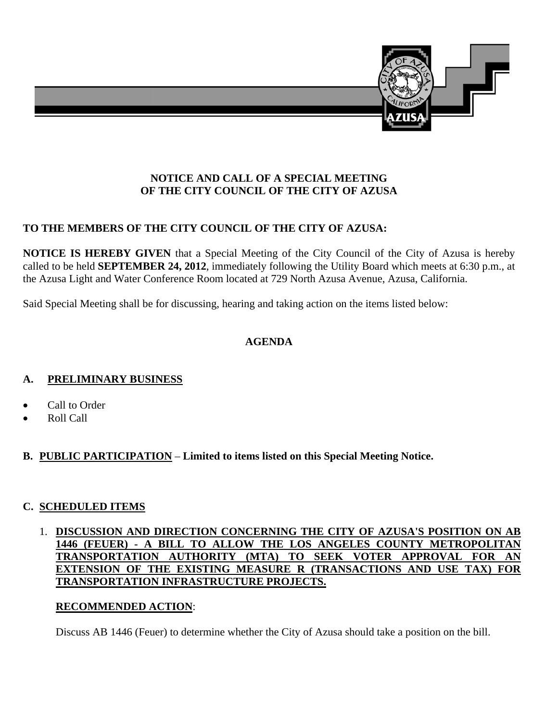

### **NOTICE AND CALL OF A SPECIAL MEETING OF THE CITY COUNCIL OF THE CITY OF AZUSA**

# **TO THE MEMBERS OF THE CITY COUNCIL OF THE CITY OF AZUSA:**

**NOTICE IS HEREBY GIVEN** that a Special Meeting of the City Council of the City of Azusa is hereby called to be held **SEPTEMBER 24, 2012**, immediately following the Utility Board which meets at 6:30 p.m., at the Azusa Light and Water Conference Room located at 729 North Azusa Avenue, Azusa, California.

Said Special Meeting shall be for discussing, hearing and taking action on the items listed below:

### **AGENDA**

### **A. PRELIMINARY BUSINESS**

- Call to Order
- Roll Call
- **B. PUBLIC PARTICIPATION Limited to items listed on this Special Meeting Notice.**

### **C. SCHEDULED ITEMS**

### 1. **DISCUSSION AND DIRECTION CONCERNING THE CITY OF AZUSA'S POSITION ON AB 1446 (FEUER) - A BILL TO ALLOW THE LOS ANGELES COUNTY METROPOLITAN TRANSPORTATION AUTHORITY (MTA) TO SEEK VOTER APPROVAL FOR AN EXTENSION OF THE EXISTING MEASURE R (TRANSACTIONS AND USE TAX) FOR TRANSPORTATION INFRASTRUCTURE PROJECTS.**

### **RECOMMENDED ACTION**:

Discuss AB 1446 (Feuer) to determine whether the City of Azusa should take a position on the bill.